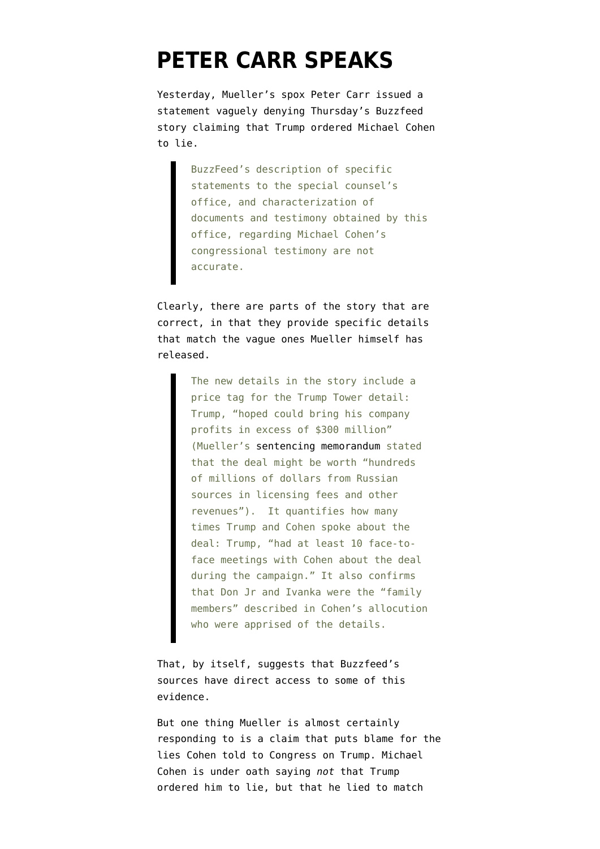## **[PETER CARR SPEAKS](https://www.emptywheel.net/2019/01/19/peter-carr-speaks/)**

Yesterday, Mueller's spox Peter Carr issued a statement vaguely denying Thursday's [Buzzfeed](https://www.buzzfeednews.com/article/jasonleopold/trump-russia-cohen-moscow-tower-mueller-investigation) [story](https://www.buzzfeednews.com/article/jasonleopold/trump-russia-cohen-moscow-tower-mueller-investigation) claiming that Trump ordered Michael Cohen to lie.

> BuzzFeed's description of specific statements to the special counsel's office, and characterization of documents and testimony obtained by this office, regarding Michael Cohen's congressional testimony are not accurate.

Clearly, there are parts of the story that are correct, in that they provide [specific details](https://www.emptywheel.net/2019/01/18/about-the-buzzfeed-scoop-its-important-but-it-oversells-the-lying-part/) that match the vague ones Mueller himself has released.

> The new details in the story include a price tag for the Trump Tower detail: Trump, "hoped could bring his company profits in excess of \$300 million" (Mueller's [sentencing memorandum](https://www.courtlistener.com/recap/gov.uscourts.nysd.505539/gov.uscourts.nysd.505539.15.0.pdf) stated that the deal might be worth "hundreds of millions of dollars from Russian sources in licensing fees and other revenues"). It quantifies how many times Trump and Cohen spoke about the deal: Trump, "had at least 10 face-toface meetings with Cohen about the deal during the campaign." It also confirms that Don Jr and Ivanka were the "family members" described in Cohen's allocution who were apprised of the details.

That, by itself, suggests that Buzzfeed's sources have direct access to some of this evidence.

But one thing Mueller is almost certainly responding to is a claim that puts blame for the lies Cohen told to Congress on Trump. Michael Cohen is [under oath](https://int.nyt.com/data/documenthelper/501-michael-cohen-court-transcript/ddd84d2b0f5a3425ebc5/optimized/full.pdf) saying *not* that Trump ordered him to lie, but that he lied to match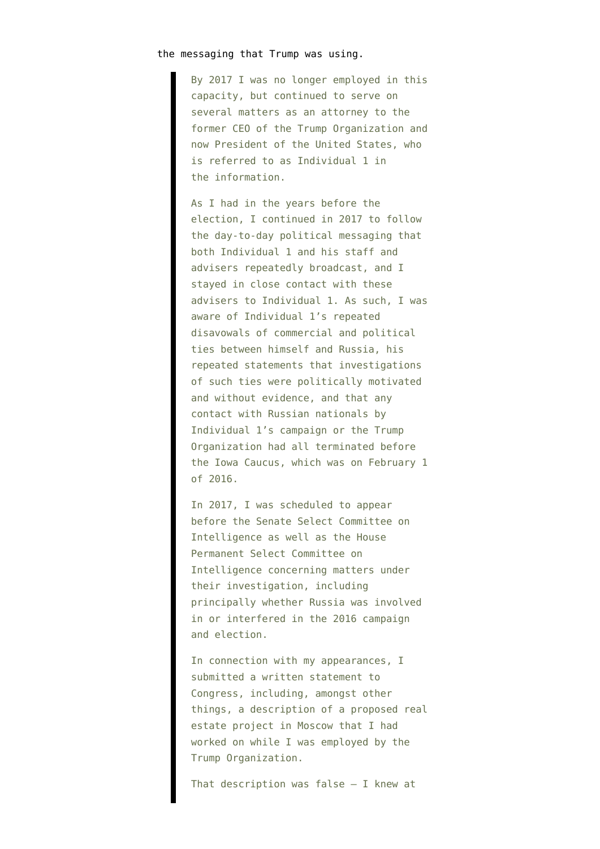## the messaging that Trump was using.

By 2017 I was no longer employed in this capacity, but continued to serve on several matters as an attorney to the former CEO of the Trump Organization and now President of the United States, who is referred to as Individual 1 in the information.

As I had in the years before the election, I continued in 2017 to follow the day-to-day political messaging that both Individual 1 and his staff and advisers repeatedly broadcast, and I stayed in close contact with these advisers to Individual 1. As such, I was aware of Individual 1's repeated disavowals of commercial and political ties between himself and Russia, his repeated statements that investigations of such ties were politically motivated and without evidence, and that any contact with Russian nationals by Individual 1's campaign or the Trump Organization had all terminated before the Iowa Caucus, which was on February 1 of 2016.

In 2017, I was scheduled to appear before the Senate Select Committee on Intelligence as well as the House Permanent Select Committee on Intelligence concerning matters under their investigation, including principally whether Russia was involved in or interfered in the 2016 campaign and election.

In connection with my appearances, I submitted a written statement to Congress, including, amongst other things, a description of a proposed real estate project in Moscow that I had worked on while I was employed by the Trump Organization.

That description was false — I knew at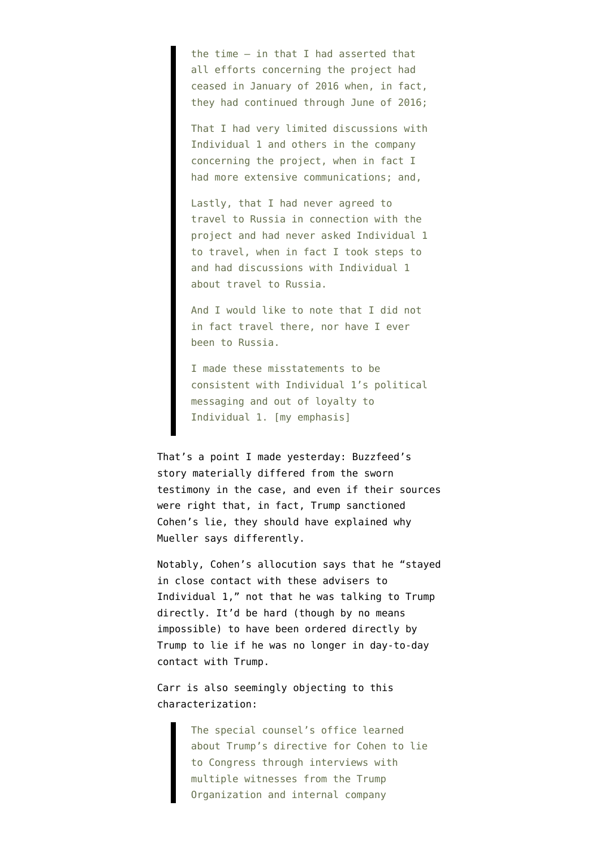the time — in that I had asserted that all efforts concerning the project had ceased in January of 2016 when, in fact, they had continued through June of 2016;

That I had very limited discussions with Individual 1 and others in the company concerning the project, when in fact I had more extensive communications; and,

Lastly, that I had never agreed to travel to Russia in connection with the project and had never asked Individual 1 to travel, when in fact I took steps to and had discussions with Individual 1 about travel to Russia.

And I would like to note that I did not in fact travel there, nor have I ever been to Russia.

I made these misstatements to be consistent with Individual 1's political messaging and out of loyalty to Individual 1. [my emphasis]

That's a point I [made yesterday:](https://www.emptywheel.net/2019/01/18/about-the-buzzfeed-scoop-its-important-but-it-oversells-the-lying-part/) Buzzfeed's story materially differed from the sworn testimony in the case, and even if their sources were right that, in fact, Trump sanctioned Cohen's lie, they should have explained why Mueller says differently.

Notably, Cohen's allocution says that he "stayed in close contact with these advisers to Individual 1," not that he was talking to Trump directly. It'd be hard (though by no means impossible) to have been ordered directly by Trump to lie if he was no longer in day-to-day contact with Trump.

Carr is also seemingly objecting to this characterization:

> The special counsel's office learned about Trump's directive for Cohen to lie to Congress through interviews with multiple witnesses from the Trump Organization and internal company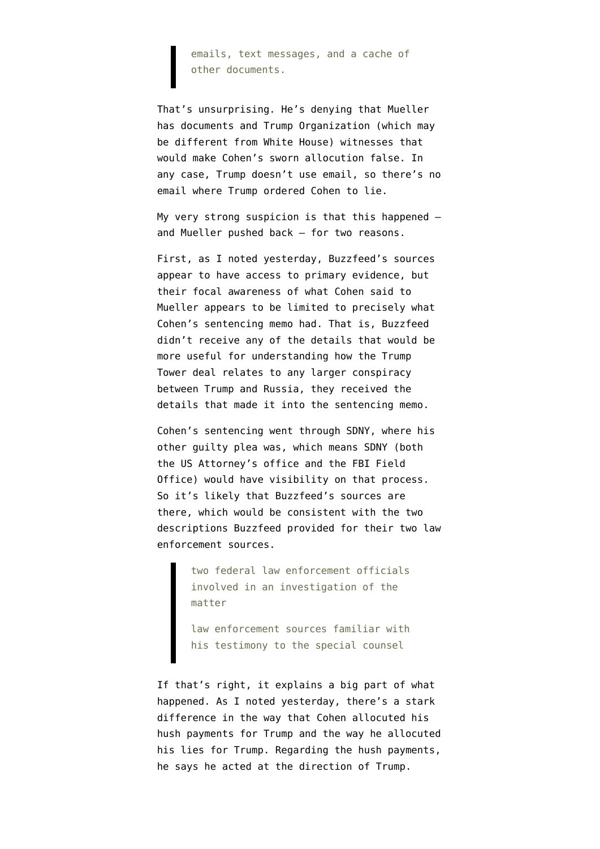## emails, text messages, and a cache of other documents.

That's unsurprising. He's denying that Mueller has documents and Trump Organization (which may be different from White House) witnesses that would make Cohen's sworn allocution false. In any case, Trump doesn't use email, so there's no email where Trump ordered Cohen to lie.

My very strong suspicion is that this happened and Mueller pushed back — for two reasons.

First, as I noted yesterday, Buzzfeed's sources appear to have access to primary evidence, but their focal awareness of what Cohen said to Mueller appears to be limited to precisely what Cohen's sentencing memo had. That is, Buzzfeed didn't receive any of the details that would be more useful for understanding how the Trump Tower deal relates to any larger conspiracy between Trump and Russia, they received the details that made it into the sentencing memo.

Cohen's sentencing went through SDNY, where his other guilty plea was, which means SDNY (both the US Attorney's office and the FBI Field Office) would have visibility on that process. So it's likely that Buzzfeed's sources are there, which would be consistent with the two descriptions Buzzfeed provided for their two law enforcement sources.

> two federal law enforcement officials involved in an investigation of the matter

> law enforcement sources familiar with his testimony to the special counsel

If that's right, it explains a big part of what happened. As I [noted](https://www.courtlistener.com/recap/gov.uscourts.nysd.499666/gov.uscourts.nysd.499666.24.0.pdf) yesterday, there's a stark difference in the way that Cohen allocuted his hush payments for Trump and the way he allocuted his lies for Trump. Regarding the hush payments, he says he acted at the direction of Trump.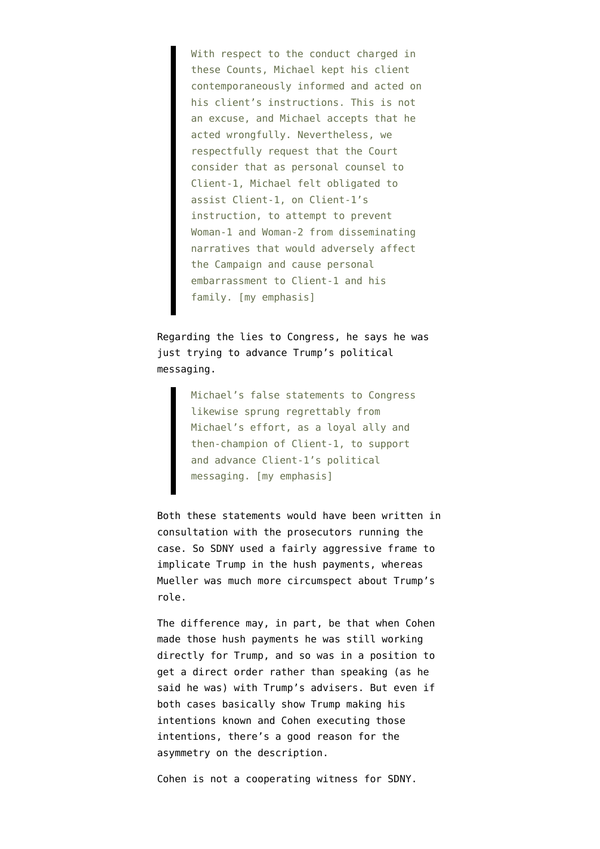With respect to the conduct charged in these Counts, Michael kept his client contemporaneously informed and acted on his client's instructions. This is not an excuse, and Michael accepts that he acted wrongfully. Nevertheless, we respectfully request that the Court consider that as personal counsel to Client-1, Michael felt obligated to assist Client-1, on Client-1's instruction, to attempt to prevent Woman-1 and Woman-2 from disseminating narratives that would adversely affect the Campaign and cause personal embarrassment to Client-1 and his family. [my emphasis]

Regarding the lies to Congress, he says he was just trying to advance Trump's political messaging.

> Michael's false statements to Congress likewise sprung regrettably from Michael's effort, as a loyal ally and then-champion of Client-1, to support and advance Client-1's political messaging. [my emphasis]

Both these statements would have been written in consultation with the prosecutors running the case. So SDNY used a fairly aggressive frame to implicate Trump in the hush payments, whereas Mueller was much more circumspect about Trump's role.

The difference may, in part, be that when Cohen made those hush payments he was still working directly for Trump, and so was in a position to get a direct order rather than speaking (as he said he was) with Trump's advisers. But even if both cases basically show Trump making his intentions known and Cohen executing those intentions, there's a good reason for the asymmetry on the description.

Cohen is not a cooperating witness for SDNY.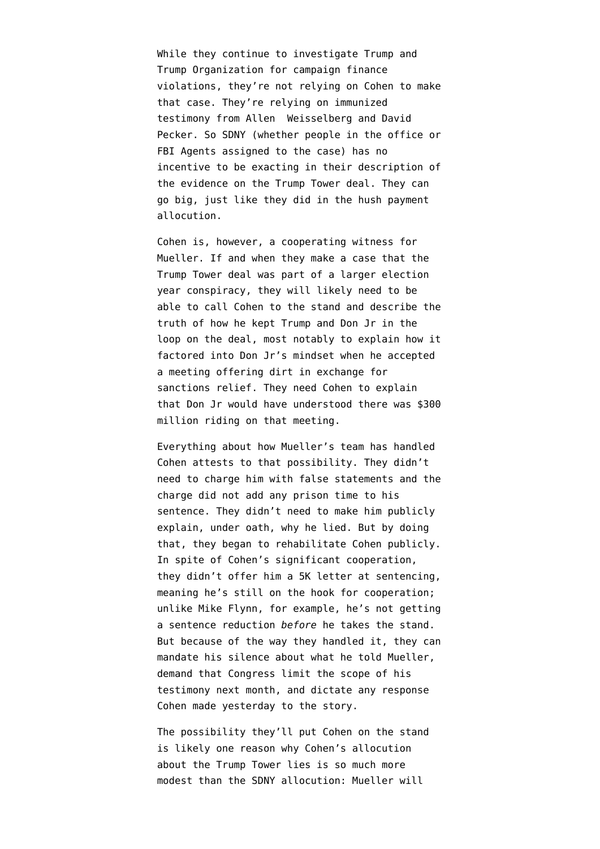While they continue to investigate Trump and Trump Organization for campaign finance violations, they're not relying on Cohen to make that case. They're relying on immunized testimony from Allen Weisselberg and David Pecker. So SDNY (whether people in the office or FBI Agents assigned to the case) has no incentive to be exacting in their description of the evidence on the Trump Tower deal. They can go big, just like they did in the hush payment allocution.

Cohen is, however, a cooperating witness for Mueller. If and when they make a case that the Trump Tower deal was part of a larger election year conspiracy, they will likely need to be able to call Cohen to the stand and describe the truth of how he kept Trump and Don Jr in the loop on the deal, most notably to explain how it factored into Don Jr's mindset when he accepted a meeting offering dirt in exchange for sanctions relief. They need Cohen to explain that Don Jr would have understood there was \$300 million riding on that meeting.

Everything about how Mueller's team has handled Cohen attests to that possibility. They didn't need to charge him with false statements and the charge did not add any prison time to his sentence. They didn't need to make him publicly explain, under oath, why he lied. But by doing that, they began to rehabilitate Cohen publicly. In spite of Cohen's significant cooperation, they didn't offer him a 5K letter at sentencing, meaning he's still on the hook for cooperation; unlike Mike Flynn, for example, he's not getting a sentence reduction *before* he takes the stand. But because of the way they handled it, they can mandate his silence about what he told Mueller, demand that Congress limit the scope of his testimony next month, and dictate any response Cohen made yesterday to the story.

The possibility they'll put Cohen on the stand is likely one reason why Cohen's allocution about the Trump Tower lies is so much more modest than the SDNY allocution: Mueller will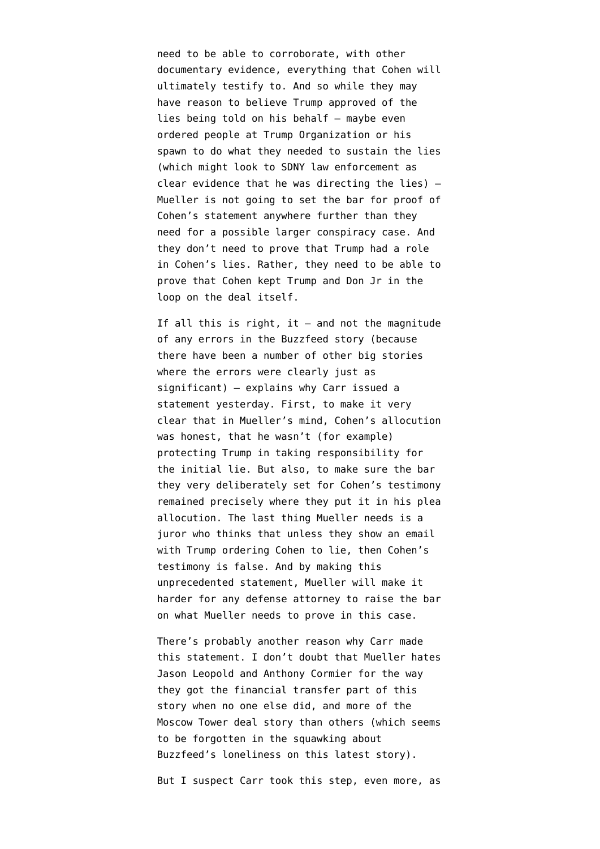need to be able to corroborate, with other documentary evidence, everything that Cohen will ultimately testify to. And so while they may have reason to believe Trump approved of the lies being told on his behalf — maybe even ordered people at Trump Organization or his spawn to do what they needed to sustain the lies (which might look to SDNY law enforcement as clear evidence that he was directing the lies) — Mueller is not going to set the bar for proof of Cohen's statement anywhere further than they need for a possible larger conspiracy case. And they don't need to prove that Trump had a role in Cohen's lies. Rather, they need to be able to prove that Cohen kept Trump and Don Jr in the loop on the deal itself.

If all this is right, it  $-$  and not the magnitude of any errors in the Buzzfeed story (because there have been a number of other big stories where the errors were clearly just as significant) — explains why Carr issued a statement yesterday. First, to make it very clear that in Mueller's mind, Cohen's allocution was honest, that he wasn't (for example) protecting Trump in taking responsibility for the initial lie. But also, to make sure the bar they very deliberately set for Cohen's testimony remained precisely where they put it in his plea allocution. The last thing Mueller needs is a juror who thinks that unless they show an email with Trump ordering Cohen to lie, then Cohen's testimony is false. And by making this unprecedented statement, Mueller will make it harder for any defense attorney to raise the bar on what Mueller needs to prove in this case.

There's probably another reason why Carr made this statement. I don't doubt that Mueller hates Jason Leopold and Anthony Cormier for the way they got the financial transfer part of this story when no one else did, and more of the Moscow Tower deal story than others (which seems to be forgotten in the squawking about Buzzfeed's loneliness on this latest story).

But I suspect Carr took this step, even more, as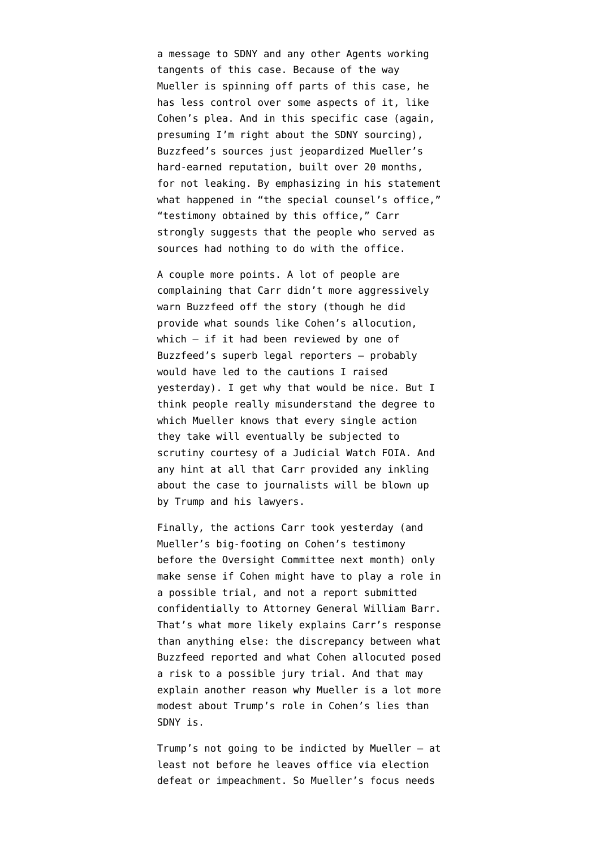a message to SDNY and any other Agents working tangents of this case. Because of the way Mueller is spinning off parts of this case, he has less control over some aspects of it, like Cohen's plea. And in this specific case (again, presuming I'm right about the SDNY sourcing), Buzzfeed's sources just jeopardized Mueller's hard-earned reputation, built over 20 months, for not leaking. By emphasizing in his statement what happened in "the special counsel's office," "testimony obtained by this office," Carr strongly suggests that the people who served as sources had nothing to do with the office.

A couple more points. A lot of people are complaining that Carr didn't more aggressively warn Buzzfeed off the story (though he did provide what sounds like Cohen's allocution, which — if it had been reviewed by one of Buzzfeed's superb legal reporters — probably would have led to the cautions I raised yesterday). I get why that would be nice. But I think people really misunderstand the degree to which Mueller knows that every single action they take will eventually be subjected to scrutiny courtesy of a Judicial Watch FOIA. And any hint at all that Carr provided any inkling about the case to journalists will be blown up by Trump and his lawyers.

Finally, the actions Carr took yesterday (and Mueller's big-footing on Cohen's testimony before the Oversight Committee next month) only make sense if Cohen might have to play a role in a possible trial, and not a report submitted confidentially to Attorney General William Barr. That's what more likely explains Carr's response than anything else: the discrepancy between what Buzzfeed reported and what Cohen allocuted posed a risk to a possible jury trial. And that may explain another reason why Mueller is a lot more modest about Trump's role in Cohen's lies than SDNY is.

Trump's not going to be indicted by Mueller — at least not before he leaves office via election defeat or impeachment. So Mueller's focus needs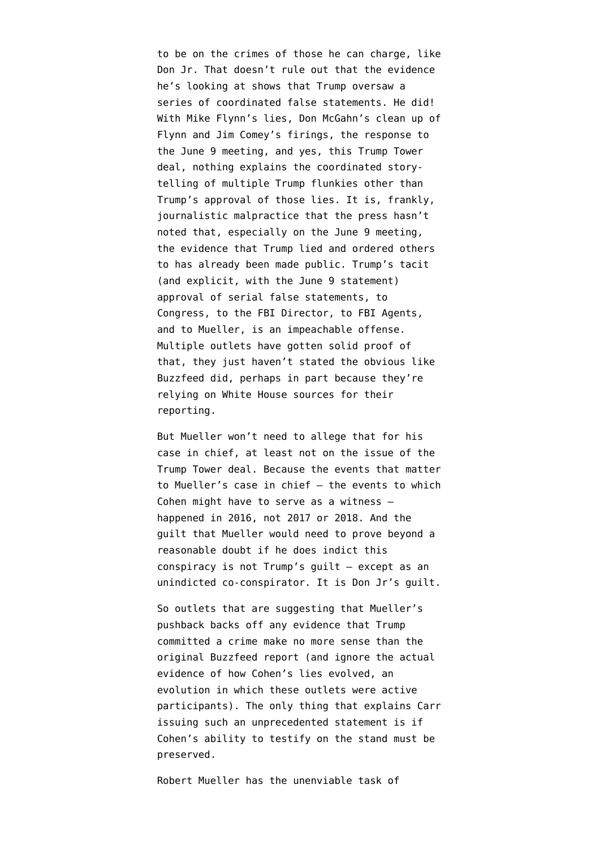to be on the crimes of those he can charge, like Don Jr. That doesn't rule out that the evidence he's looking at shows that Trump oversaw a series of coordinated false statements. He did! With Mike Flynn's lies, Don McGahn's clean up of Flynn and Jim Comey's firings, the response to the June 9 meeting, and yes, this Trump Tower deal, nothing explains the coordinated storytelling of multiple Trump flunkies other than Trump's approval of those lies. It is, frankly, journalistic malpractice that the press hasn't noted that, especially on the June 9 meeting, the evidence that Trump lied and ordered others to [has already been made public.](https://www.emptywheel.net/2018/08/21/it-is-false-that-there-was-no-follow-up-to-the-june-9-meeting/) Trump's tacit (and explicit, with the June 9 statement) approval of serial false statements, to Congress, to the FBI Director, to FBI Agents, and to Mueller, is an impeachable offense. Multiple outlets have gotten solid proof of that, they just haven't stated the obvious like Buzzfeed did, perhaps in part because they're relying on White House sources for their reporting.

But Mueller won't need to allege that for his case in chief, at least not on the issue of the Trump Tower deal. Because the events that matter to Mueller's case in chief — the events to which Cohen might have to serve as a witness happened in 2016, not 2017 or 2018. And the guilt that Mueller would need to prove beyond a reasonable doubt if he does indict this conspiracy is not Trump's guilt — except as an unindicted co-conspirator. It is Don Jr's guilt.

So [outlets](https://www.washingtonpost.com/world/national-security/2019/01/18/b9c40d34-1b85-11e9-8813-cb9dec761e73_story.html) that are suggesting that Mueller's pushback backs off any evidence that Trump committed a crime make no more sense than the original Buzzfeed report (and ignore [the actual](https://www.emptywheel.net/2018/12/07/michael-cohen-and-felix-saters-evolving-cooperation-against-trump/) [evidence of how Cohen's lies evolved](https://www.emptywheel.net/2018/12/07/michael-cohen-and-felix-saters-evolving-cooperation-against-trump/), an evolution in which these outlets [were active](https://www.washingtonpost.com/politics/trumps-business-sought-deal-on-a-trump-tower-in-moscow-while-he-ran-for-president/2017/08/27/d6e95114-8b65-11e7-91d5-ab4e4bb76a3a_story.html) [participants](https://www.washingtonpost.com/politics/trumps-business-sought-deal-on-a-trump-tower-in-moscow-while-he-ran-for-president/2017/08/27/d6e95114-8b65-11e7-91d5-ab4e4bb76a3a_story.html)). The only thing that explains Carr issuing such an unprecedented statement is if Cohen's ability to testify on the stand must be preserved.

Robert Mueller has the unenviable task of